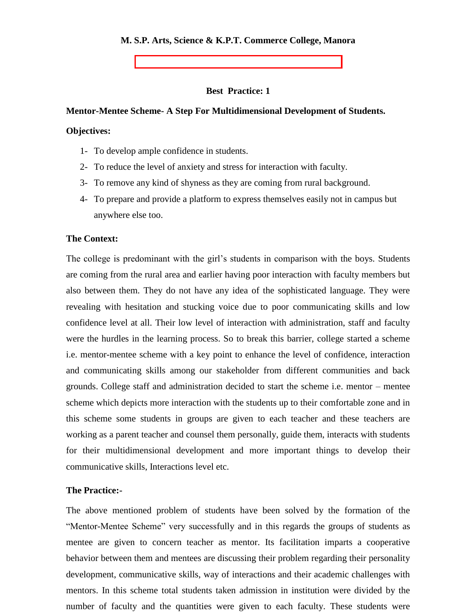### **M. S.P. Arts, Science & K.P.T. Commerce College, Manora**

**Best Practice: 1**

#### **Mentor-Mentee Scheme- A Step For Multidimensional Development of Students.**

### **Objectives:**

- 1- To develop ample confidence in students.
- 2- To reduce the level of anxiety and stress for interaction with faculty.
- 3- To remove any kind of shyness as they are coming from rural background.
- 4- To prepare and provide a platform to express themselves easily not in campus but anywhere else too.

# **The Context:**

The college is predominant with the girl's students in comparison with the boys. Students are coming from the rural area and earlier having poor interaction with faculty members but also between them. They do not have any idea of the sophisticated language. They were revealing with hesitation and stucking voice due to poor communicating skills and low confidence level at all. Their low level of interaction with administration, staff and faculty were the hurdles in the learning process. So to break this barrier, college started a scheme i.e. mentor-mentee scheme with a key point to enhance the level of confidence, interaction and communicating skills among our stakeholder from different communities and back grounds. College staff and administration decided to start the scheme i.e. mentor – mentee scheme which depicts more interaction with the students up to their comfortable zone and in this scheme some students in groups are given to each teacher and these teachers are working as a parent teacher and counsel them personally, guide them, interacts with students for their multidimensional development and more important things to develop their communicative skills, Interactions level etc.

#### **The Practice:-**

The above mentioned problem of students have been solved by the formation of the "Mentor-Mentee Scheme" very successfully and in this regards the groups of students as mentee are given to concern teacher as mentor. Its facilitation imparts a cooperative behavior between them and mentees are discussing their problem regarding their personality development, communicative skills, way of interactions and their academic challenges with mentors. In this scheme total students taken admission in institution were divided by the number of faculty and the quantities were given to each faculty. These students were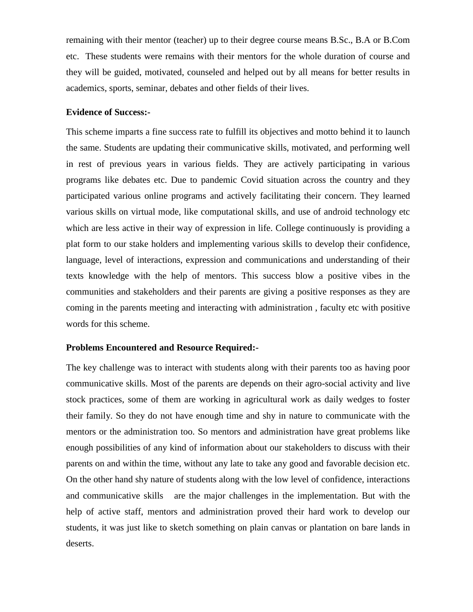remaining with their mentor (teacher) up to their degree course means B.Sc., B.A or B.Com etc. These students were remains with their mentors for the whole duration of course and they will be guided, motivated, counseled and helped out by all means for better results in academics, sports, seminar, debates and other fields of their lives.

# **Evidence of Success:-**

This scheme imparts a fine success rate to fulfill its objectives and motto behind it to launch the same. Students are updating their communicative skills, motivated, and performing well in rest of previous years in various fields. They are actively participating in various programs like debates etc. Due to pandemic Covid situation across the country and they participated various online programs and actively facilitating their concern. They learned various skills on virtual mode, like computational skills, and use of android technology etc which are less active in their way of expression in life. College continuously is providing a plat form to our stake holders and implementing various skills to develop their confidence, language, level of interactions, expression and communications and understanding of their texts knowledge with the help of mentors. This success blow a positive vibes in the communities and stakeholders and their parents are giving a positive responses as they are coming in the parents meeting and interacting with administration , faculty etc with positive words for this scheme.

#### **Problems Encountered and Resource Required:-**

The key challenge was to interact with students along with their parents too as having poor communicative skills. Most of the parents are depends on their agro-social activity and live stock practices, some of them are working in agricultural work as daily wedges to foster their family. So they do not have enough time and shy in nature to communicate with the mentors or the administration too. So mentors and administration have great problems like enough possibilities of any kind of information about our stakeholders to discuss with their parents on and within the time, without any late to take any good and favorable decision etc. On the other hand shy nature of students along with the low level of confidence, interactions and communicative skills are the major challenges in the implementation. But with the help of active staff, mentors and administration proved their hard work to develop our students, it was just like to sketch something on plain canvas or plantation on bare lands in deserts.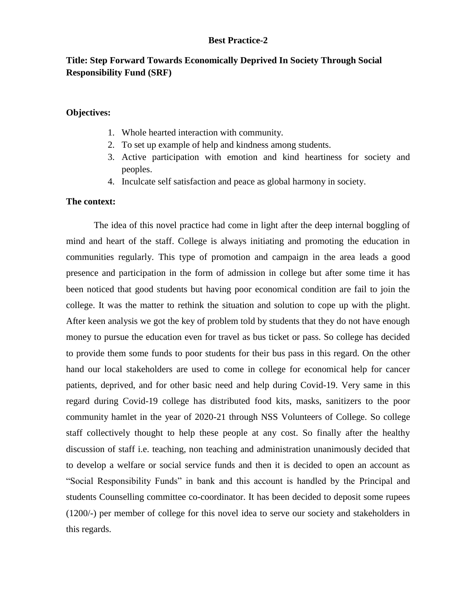# **Best Practice-2**

# **Title: Step Forward Towards Economically Deprived In Society Through Social Responsibility Fund (SRF)**

### **Objectives:**

- 1. Whole hearted interaction with community.
- 2. To set up example of help and kindness among students.
- 3. Active participation with emotion and kind heartiness for society and peoples.
- 4. Inculcate self satisfaction and peace as global harmony in society.

# **The context:**

The idea of this novel practice had come in light after the deep internal boggling of mind and heart of the staff. College is always initiating and promoting the education in communities regularly. This type of promotion and campaign in the area leads a good presence and participation in the form of admission in college but after some time it has been noticed that good students but having poor economical condition are fail to join the college. It was the matter to rethink the situation and solution to cope up with the plight. After keen analysis we got the key of problem told by students that they do not have enough money to pursue the education even for travel as bus ticket or pass. So college has decided to provide them some funds to poor students for their bus pass in this regard. On the other hand our local stakeholders are used to come in college for economical help for cancer patients, deprived, and for other basic need and help during Covid-19. Very same in this regard during Covid-19 college has distributed food kits, masks, sanitizers to the poor community hamlet in the year of 2020-21 through NSS Volunteers of College. So college staff collectively thought to help these people at any cost. So finally after the healthy discussion of staff i.e. teaching, non teaching and administration unanimously decided that to develop a welfare or social service funds and then it is decided to open an account as "Social Responsibility Funds" in bank and this account is handled by the Principal and students Counselling committee co-coordinator. It has been decided to deposit some rupees (1200/-) per member of college for this novel idea to serve our society and stakeholders in this regards.